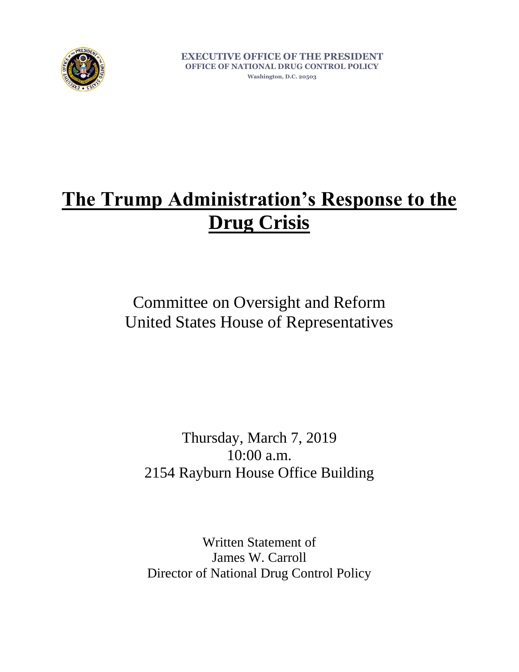

**EXECUTIVE OFFICE OF THE PRESIDENT OFFICE OF NATIONAL DRUG CONTROL POLICY**

**Washington, D.C. 20503**

# **The Trump Administration's Response to the Drug Crisis**

Committee on Oversight and Reform United States House of Representatives

Thursday, March 7, 2019 10:00 a.m. 2154 Rayburn House Office Building

Written Statement of James W. Carroll Director of National Drug Control Policy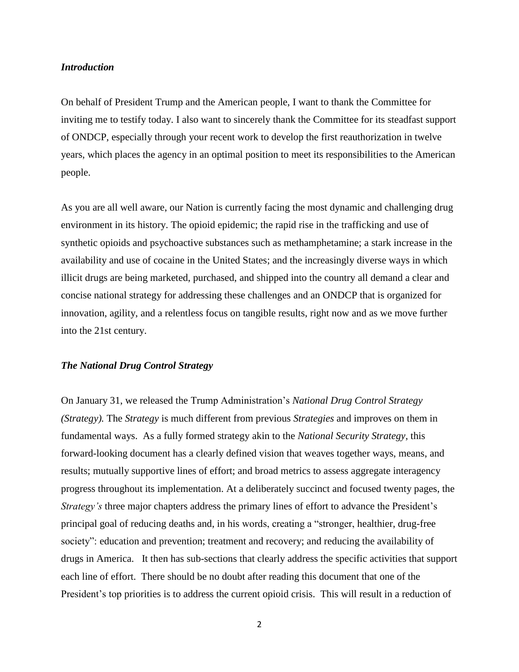### *Introduction*

On behalf of President Trump and the American people, I want to thank the Committee for inviting me to testify today. I also want to sincerely thank the Committee for its steadfast support of ONDCP, especially through your recent work to develop the first reauthorization in twelve years, which places the agency in an optimal position to meet its responsibilities to the American people.

As you are all well aware, our Nation is currently facing the most dynamic and challenging drug environment in its history. The opioid epidemic; the rapid rise in the trafficking and use of synthetic opioids and psychoactive substances such as methamphetamine; a stark increase in the availability and use of cocaine in the United States; and the increasingly diverse ways in which illicit drugs are being marketed, purchased, and shipped into the country all demand a clear and concise national strategy for addressing these challenges and an ONDCP that is organized for innovation, agility, and a relentless focus on tangible results, right now and as we move further into the 21st century.

### *The National Drug Control Strategy*

On January 31, we released the Trump Administration's *National Drug Control Strategy (Strategy).* The *Strategy* is much different from previous *Strategies* and improves on them in fundamental ways. As a fully formed strategy akin to the *National Security Strategy*, this forward-looking document has a clearly defined vision that weaves together ways, means, and results; mutually supportive lines of effort; and broad metrics to assess aggregate interagency progress throughout its implementation. At a deliberately succinct and focused twenty pages, the *Strategy's* three major chapters address the primary lines of effort to advance the President's principal goal of reducing deaths and, in his words, creating a "stronger, healthier, drug-free society": education and prevention; treatment and recovery; and reducing the availability of drugs in America. It then has sub-sections that clearly address the specific activities that support each line of effort. There should be no doubt after reading this document that one of the President's top priorities is to address the current opioid crisis. This will result in a reduction of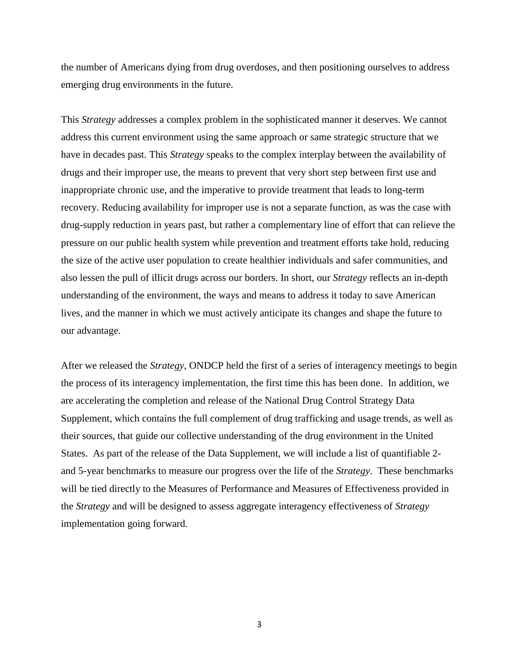the number of Americans dying from drug overdoses, and then positioning ourselves to address emerging drug environments in the future.

This *Strategy* addresses a complex problem in the sophisticated manner it deserves. We cannot address this current environment using the same approach or same strategic structure that we have in decades past. This *Strategy* speaks to the complex interplay between the availability of drugs and their improper use, the means to prevent that very short step between first use and inappropriate chronic use, and the imperative to provide treatment that leads to long-term recovery. Reducing availability for improper use is not a separate function, as was the case with drug-supply reduction in years past, but rather a complementary line of effort that can relieve the pressure on our public health system while prevention and treatment efforts take hold, reducing the size of the active user population to create healthier individuals and safer communities, and also lessen the pull of illicit drugs across our borders. In short, our *Strategy* reflects an in-depth understanding of the environment, the ways and means to address it today to save American lives, and the manner in which we must actively anticipate its changes and shape the future to our advantage.

After we released the *Strategy*, ONDCP held the first of a series of interagency meetings to begin the process of its interagency implementation, the first time this has been done. In addition, we are accelerating the completion and release of the National Drug Control Strategy Data Supplement, which contains the full complement of drug trafficking and usage trends, as well as their sources, that guide our collective understanding of the drug environment in the United States. As part of the release of the Data Supplement, we will include a list of quantifiable 2 and 5-year benchmarks to measure our progress over the life of the *Strategy*. These benchmarks will be tied directly to the Measures of Performance and Measures of Effectiveness provided in the *Strategy* and will be designed to assess aggregate interagency effectiveness of *Strategy* implementation going forward.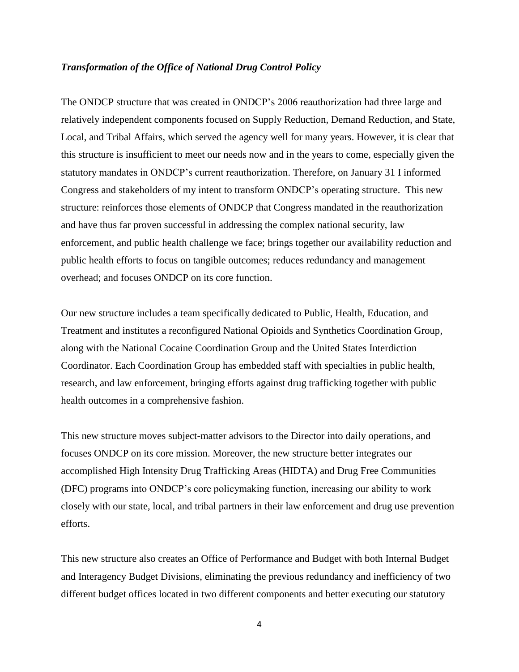### *Transformation of the Office of National Drug Control Policy*

The ONDCP structure that was created in ONDCP's 2006 reauthorization had three large and relatively independent components focused on Supply Reduction, Demand Reduction, and State, Local, and Tribal Affairs, which served the agency well for many years. However, it is clear that this structure is insufficient to meet our needs now and in the years to come, especially given the statutory mandates in ONDCP's current reauthorization. Therefore, on January 31 I informed Congress and stakeholders of my intent to transform ONDCP's operating structure. This new structure: reinforces those elements of ONDCP that Congress mandated in the reauthorization and have thus far proven successful in addressing the complex national security, law enforcement, and public health challenge we face; brings together our availability reduction and public health efforts to focus on tangible outcomes; reduces redundancy and management overhead; and focuses ONDCP on its core function.

Our new structure includes a team specifically dedicated to Public, Health, Education, and Treatment and institutes a reconfigured National Opioids and Synthetics Coordination Group, along with the National Cocaine Coordination Group and the United States Interdiction Coordinator. Each Coordination Group has embedded staff with specialties in public health, research, and law enforcement, bringing efforts against drug trafficking together with public health outcomes in a comprehensive fashion.

This new structure moves subject-matter advisors to the Director into daily operations, and focuses ONDCP on its core mission. Moreover, the new structure better integrates our accomplished High Intensity Drug Trafficking Areas (HIDTA) and Drug Free Communities (DFC) programs into ONDCP's core policymaking function, increasing our ability to work closely with our state, local, and tribal partners in their law enforcement and drug use prevention efforts.

This new structure also creates an Office of Performance and Budget with both Internal Budget and Interagency Budget Divisions, eliminating the previous redundancy and inefficiency of two different budget offices located in two different components and better executing our statutory

4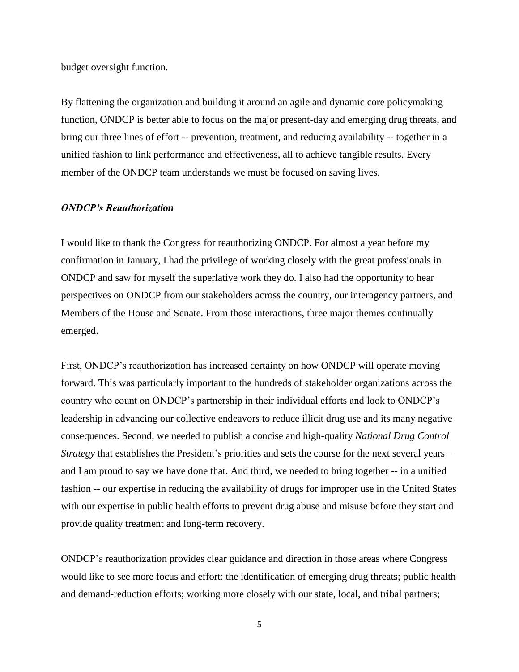budget oversight function.

By flattening the organization and building it around an agile and dynamic core policymaking function, ONDCP is better able to focus on the major present-day and emerging drug threats, and bring our three lines of effort -- prevention, treatment, and reducing availability -- together in a unified fashion to link performance and effectiveness, all to achieve tangible results. Every member of the ONDCP team understands we must be focused on saving lives.

#### *ONDCP's Reauthorization*

I would like to thank the Congress for reauthorizing ONDCP. For almost a year before my confirmation in January, I had the privilege of working closely with the great professionals in ONDCP and saw for myself the superlative work they do. I also had the opportunity to hear perspectives on ONDCP from our stakeholders across the country, our interagency partners, and Members of the House and Senate. From those interactions, three major themes continually emerged.

First, ONDCP's reauthorization has increased certainty on how ONDCP will operate moving forward. This was particularly important to the hundreds of stakeholder organizations across the country who count on ONDCP's partnership in their individual efforts and look to ONDCP's leadership in advancing our collective endeavors to reduce illicit drug use and its many negative consequences. Second, we needed to publish a concise and high-quality *National Drug Control Strategy* that establishes the President's priorities and sets the course for the next several years – and I am proud to say we have done that. And third, we needed to bring together -- in a unified fashion -- our expertise in reducing the availability of drugs for improper use in the United States with our expertise in public health efforts to prevent drug abuse and misuse before they start and provide quality treatment and long-term recovery.

ONDCP's reauthorization provides clear guidance and direction in those areas where Congress would like to see more focus and effort: the identification of emerging drug threats; public health and demand-reduction efforts; working more closely with our state, local, and tribal partners;

5